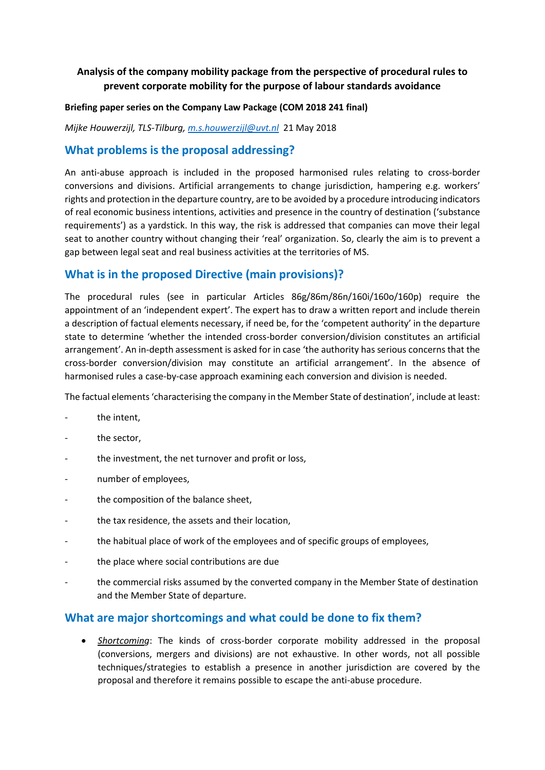# **Analysis of the company mobility package from the perspective of procedural rules to prevent corporate mobility for the purpose of labour standards avoidance**

#### **Briefing paper series on the Company Law Package (COM 2018 241 final)**

*Mijke Houwerzijl, TLS-Tilburg, [m.s.houwerzijl@uvt.nl](mailto:m.s.houwerzijl@uvt.nl)* 21 May 2018

## **What problems is the proposal addressing?**

An anti-abuse approach is included in the proposed harmonised rules relating to cross-border conversions and divisions. Artificial arrangements to change jurisdiction, hampering e.g. workers' rights and protection in the departure country, are to be avoided by a procedure introducing indicators of real economic business intentions, activities and presence in the country of destination ('substance requirements') as a yardstick. In this way, the risk is addressed that companies can move their legal seat to another country without changing their 'real' organization. So, clearly the aim is to prevent a gap between legal seat and real business activities at the territories of MS.

## **What is in the proposed Directive (main provisions)?**

The procedural rules (see in particular Articles 86g/86m/86n/160i/160o/160p) require the appointment of an 'independent expert'. The expert has to draw a written report and include therein a description of factual elements necessary, if need be, for the 'competent authority' in the departure state to determine 'whether the intended cross-border conversion/division constitutes an artificial arrangement'. An in-depth assessment is asked for in case 'the authority has serious concerns that the cross-border conversion/division may constitute an artificial arrangement'. In the absence of harmonised rules a case-by-case approach examining each conversion and division is needed.

The factual elements 'characterising the company in the Member State of destination', include at least:

- the intent,
- the sector,
- the investment, the net turnover and profit or loss,
- number of employees,
- the composition of the balance sheet,
- the tax residence, the assets and their location,
- the habitual place of work of the employees and of specific groups of employees,
- the place where social contributions are due
- the commercial risks assumed by the converted company in the Member State of destination and the Member State of departure.

### **What are major shortcomings and what could be done to fix them?**

 *Shortcoming*: The kinds of cross-border corporate mobility addressed in the proposal (conversions, mergers and divisions) are not exhaustive. In other words, not all possible techniques/strategies to establish a presence in another jurisdiction are covered by the proposal and therefore it remains possible to escape the anti-abuse procedure.